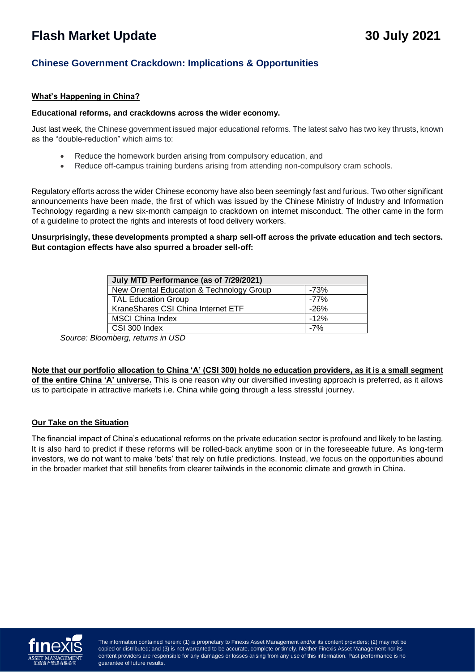# **Flash Market Update 30 July 2021**

# **Chinese Government Crackdown: Implications & Opportunities**

# **What's Happening in China?**

#### **Educational reforms, and crackdowns across the wider economy.**

Just last week, the Chinese government issued major educational reforms. The latest salvo has two key thrusts, known as the "double-reduction" which aims to:

- Reduce the homework burden arising from compulsory education, and
- Reduce off-campus training burdens arising from attending non-compulsory cram schools.

Regulatory efforts across the wider Chinese economy have also been seemingly fast and furious. Two other significant announcements have been made, the first of which was issued by the Chinese Ministry of Industry and Information Technology regarding a new six-month campaign to crackdown on internet misconduct. The other came in the form of a guideline to protect the rights and interests of food delivery workers.

**Unsurprisingly, these developments prompted a sharp sell-off across the private education and tech sectors. But contagion effects have also spurred a broader sell-off:**

| July MTD Performance (as of 7/29/2021)    |        |
|-------------------------------------------|--------|
| New Oriental Education & Technology Group | -73%   |
| <b>TAL Education Group</b>                | -77%   |
| KraneShares CSI China Internet ETF        | $-26%$ |
| <b>MSCI China Index</b>                   | $-12%$ |
| CSI 300 Index                             | $-7%$  |

*Source: Bloomberg, returns in USD*

**Note that our portfolio allocation to China 'A' (CSI 300) holds no education providers, as it is a small segment of the entire China 'A' universe.** This is one reason why our diversified investing approach is preferred, as it allows us to participate in attractive markets i.e. China while going through a less stressful journey.

## **Our Take on the Situation**

The financial impact of China's educational reforms on the private education sector is profound and likely to be lasting. It is also hard to predict if these reforms will be rolled-back anytime soon or in the foreseeable future. As long-term investors, we do not want to make 'bets' that rely on futile predictions. Instead, we focus on the opportunities abound in the broader market that still benefits from clearer tailwinds in the economic climate and growth in China.



copied or distributed; and (3) is not warranted to be accurate, complete or timely. Neither Finexis Asset Management nor its  $\sim$  point warranted to be accurated to be accurated to be accurated to be accurated to be accurated to be accurated to be accurated to be accurated to be accurated to be accurated to be accurated to be accurated to be ac content providers are responsible for any damages or losses arising from any use of this information. Past performance is no<br>quarantee of future results The information contained herein: (1) is proprietary to Finexis Asset Management and/or its content providers; (2) may not be guarantee of future results.